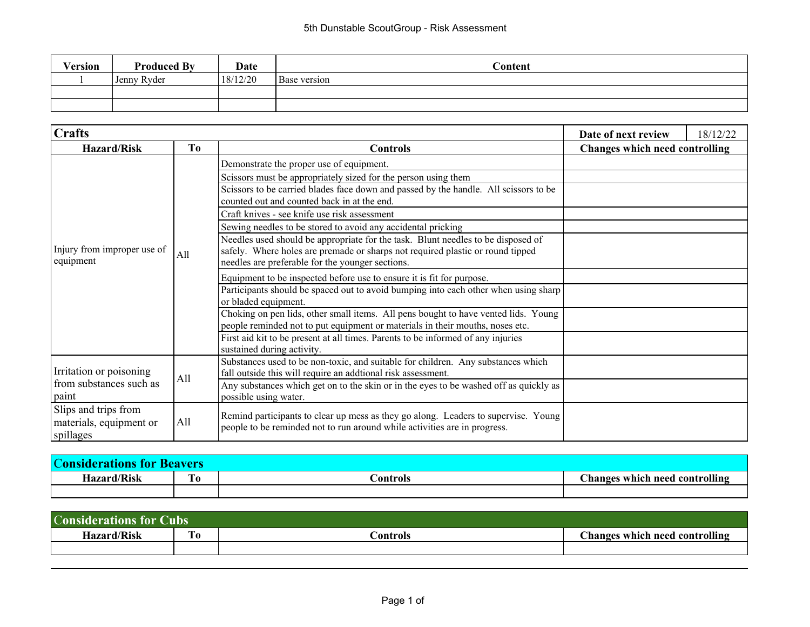| Version | <b>Produced By</b> | Date     | $\cap$ ontent       |
|---------|--------------------|----------|---------------------|
|         | Jenny Ryder        | 18/12/20 | <b>Base</b> version |
|         |                    |          |                     |
|         |                    |          |                     |

| $ {\rm Craffs} $                                             |     |                                                                                                                                                                                                                        | Date of next review                   | 18/12/22 |
|--------------------------------------------------------------|-----|------------------------------------------------------------------------------------------------------------------------------------------------------------------------------------------------------------------------|---------------------------------------|----------|
| <b>Hazard/Risk</b>                                           | To  | <b>Controls</b>                                                                                                                                                                                                        | <b>Changes which need controlling</b> |          |
|                                                              |     | Demonstrate the proper use of equipment.<br>Scissors must be appropriately sized for the person using them                                                                                                             |                                       |          |
|                                                              |     | Scissors to be carried blades face down and passed by the handle. All scissors to be<br>counted out and counted back in at the end.                                                                                    |                                       |          |
|                                                              |     | Craft knives - see knife use risk assessment                                                                                                                                                                           |                                       |          |
|                                                              |     | Sewing needles to be stored to avoid any accidental pricking                                                                                                                                                           |                                       |          |
| Injury from improper use of<br>equipment                     | All | Needles used should be appropriate for the task. Blunt needles to be disposed of<br>safely. Where holes are premade or sharps not required plastic or round tipped<br>needles are preferable for the younger sections. |                                       |          |
|                                                              |     | Equipment to be inspected before use to ensure it is fit for purpose.                                                                                                                                                  |                                       |          |
|                                                              |     | Participants should be spaced out to avoid bumping into each other when using sharp<br>or bladed equipment.                                                                                                            |                                       |          |
|                                                              |     | Choking on pen lids, other small items. All pens bought to have vented lids. Young<br>people reminded not to put equipment or materials in their mouths, noses etc.                                                    |                                       |          |
|                                                              |     | First aid kit to be present at all times. Parents to be informed of any injuries<br>sustained during activity.                                                                                                         |                                       |          |
| Irritation or poisoning                                      | All | Substances used to be non-toxic, and suitable for children. Any substances which<br>fall outside this will require an addtional risk assessment.                                                                       |                                       |          |
| from substances such as<br>paint                             |     | Any substances which get on to the skin or in the eyes to be washed off as quickly as<br>possible using water.                                                                                                         |                                       |          |
| Slips and trips from<br>materials, equipment or<br>spillages | All | Remind participants to clear up mess as they go along. Leaders to supervise. Young<br>people to be reminded not to run around while activities are in progress.                                                        |                                       |          |

| <b>Considerations for</b><br><b>Beavers</b> |         |          |                                       |  |
|---------------------------------------------|---------|----------|---------------------------------------|--|
| <b>Hazard/Risk</b>                          | m<br>10 | Dontrols | <b>Changes which need controlling</b> |  |
|                                             |         |          |                                       |  |

| <b>Considerat</b><br>Cubs<br>ations for <b>F</b> |         |                 |                                |  |
|--------------------------------------------------|---------|-----------------|--------------------------------|--|
| Hazard/Risk                                      | m<br>10 | <b>controls</b> | Changes which need controlling |  |
|                                                  |         |                 |                                |  |